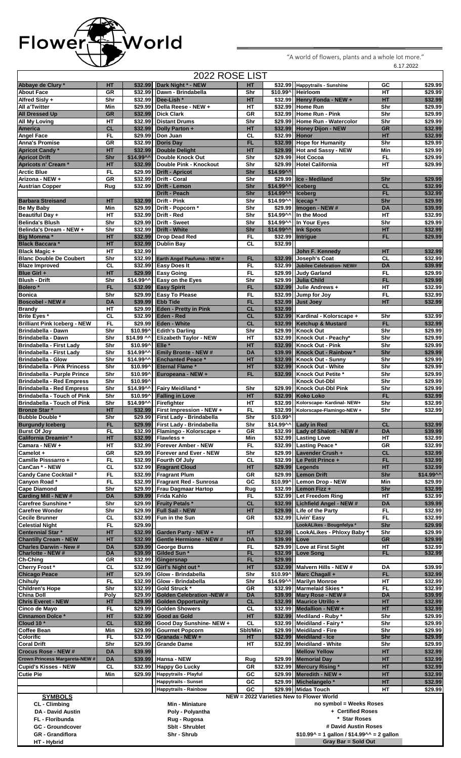

6.17.2022 "A world of flowers, plants and a whole lot more."

|                                                                 |                                                                   |                       | 2022 ROSE LIST                                                         |                        |                       |                                                              |                    |                    |
|-----------------------------------------------------------------|-------------------------------------------------------------------|-----------------------|------------------------------------------------------------------------|------------------------|-----------------------|--------------------------------------------------------------|--------------------|--------------------|
| Abbaye de Clury *                                               | HT                                                                |                       | \$32.99 Dark Night * - NEW                                             | HT                     |                       | \$32.99 Happytrails - Sunshine                               | GC                 | \$29.99            |
| <b>About Face</b><br>Alfred Sisly +                             | GR<br>Shr                                                         |                       | \$32.99   Dawn - Brindabella<br>\$32.99 Dee-Lish *                     | Shr<br>HT              |                       | \$10.99^ Heirloom<br>\$32.99 Henry Fonda - NEW +             | <b>HT</b><br>HT    | \$29.99<br>\$32.99 |
| <b>All a'Twitter</b>                                            | Min                                                               |                       | \$29.99   Della Reese - NEW +                                          | HT                     |                       | \$32.99 Home Run                                             | Shr                | \$29.99            |
| <b>All Dressed Up</b>                                           | <b>GR</b>                                                         |                       | \$32.99 Dick Clark                                                     | GR                     |                       | \$32.99 Home Run - Pink                                      | Shr                | \$29.99            |
| <b>All My Loving</b>                                            | HT                                                                |                       | \$32.99 Distant Drums                                                  | Shr                    |                       | \$29.99 Home Run - Watercolor                                | Shr                | \$29.99            |
| America<br><b>Angel Face</b>                                    | <b>CL</b><br>FL                                                   |                       | \$32.99 Dolly Parton +<br>\$29.99 Don Juan                             | HT<br><b>CL</b>        | \$32.99 Honor         | \$32.99 Honey Dijon - NEW                                    | <b>GR</b><br>HT    | \$32.99<br>\$32.99 |
| <b>Anna's Promise</b>                                           | GR                                                                |                       | \$32.99 Doris Day                                                      | <b>FL</b>              |                       | \$32.99 Hope for Humanity                                    | Shr                | \$29.99            |
| <b>Apricot Candy*</b>                                           | HT                                                                |                       | \$32.99 Double Delight                                                 | HT                     |                       | \$29.99 Hot and Sassy - NEW                                  | Min                | \$29.99            |
| <b>Apricot Drift</b>                                            | Shr                                                               |                       | \$14.99^^   Double Knock Out                                           | Shr                    |                       | \$29.99 Hot Cocoa                                            | FL                 | \$29.99            |
| Apricots n' Cream*                                              | HT                                                                |                       | \$32.99 Double Pink - Knockout                                         | Shr                    |                       | \$29.99 Hotel California                                     | <b>HT</b>          | \$29.99            |
| <b>Arctic Blue</b>                                              | FL<br><b>GR</b>                                                   |                       | \$29.99   Drift - Apricot                                              | Shr<br>Shr             | $$14.99^{\circ}$      | \$29.99 Ice - Mediland                                       |                    | \$29.99            |
| Arizona - NEW +<br><b>Austrian Copper</b>                       | Rug                                                               |                       | \$32.99   Drift - Coral<br>\$32.99 Drift - Lemon                       | Shr                    | \$14.99^^     Iceberg |                                                              | Shr<br><b>CL</b>   | \$32.99            |
|                                                                 |                                                                   |                       | <b>Drift - Peach</b>                                                   | Shr                    | \$14.99^^             | <b>Iceberg</b>                                               | <b>FL</b>          | \$32.99            |
| <b>Barbara Streisand</b>                                        | HT                                                                |                       | \$32.99 Drift - Pink                                                   | Shr                    | \$14.99^^             | Icecap <sup>*</sup>                                          | Shr                | \$29.99            |
| <b>Be My Baby</b>                                               | Min                                                               |                       | \$29.99   Drift - Popcorn *                                            | Shr                    |                       | \$29.99 Imogen - NEW #                                       | <b>DA</b>          | \$39.99            |
| <b>Beautiful Day +</b>                                          | HT                                                                |                       | \$32.99 Drift - Red                                                    | Shr                    | \$14.99^^             | In the Mood                                                  | $H$ T              | \$32.99            |
| <b>Belinda's Blush</b><br>Belinda's Dream - NEW +               | Shr<br>Shr                                                        |                       | \$29.99   Drift - Sweet<br>\$32.99 Drift - White                       | Shr<br>Shr             | \$14.99^^<br>\$14.99  | In Your Eyes<br><b>Ink Spots</b>                             | Shr<br>HT          | \$29.99<br>\$32.99 |
| <b>Big Momma</b> *                                              | HT                                                                |                       | \$32.99 Drop Dead Red                                                  | FL                     |                       | \$32.99 Intrigue                                             | FL.                | \$29.99            |
| <b>Black Baccara *</b>                                          | HT                                                                |                       | \$32.99 Dublin Bay                                                     | <b>CL</b>              | \$32.99               |                                                              |                    |                    |
| <b>Black Magic +</b>                                            | HT                                                                | \$32.99               |                                                                        |                        |                       | John F. Kennedy                                              | HT                 | \$32.99            |
| <b>Blanc Double De Coubert</b>                                  | Shr                                                               |                       | \$32.99 Earth Angel Paufuma - NEW +                                    | FL                     |                       | \$32.99 Joseph's Coat                                        | CL                 | \$32.99            |
| <b>Blaze Improved</b><br>Blue Girl +                            | CL<br>HT                                                          |                       | \$32.99 Easy Does It<br>\$29.99 Easy Going                             | FL<br>FL               |                       | \$32.99 Jubilee Celebration- NEW#<br>\$29.99 Judy Garland    | <b>DA</b><br>FL.   | \$39.99<br>\$29.99 |
| <b>Blush - Drift</b>                                            | Shr                                                               |                       | \$14.99^^ Easy on the Eyes                                             | Shr                    |                       | \$29.99 Julia Child                                          | FL                 | \$29.99            |
| Bolero <sup>*</sup>                                             | <b>FL</b>                                                         |                       | \$32.99 Easy Spirit                                                    | <b>FL</b>              |                       | \$32.99 Julie Andrews +                                      | $H$ T              | \$32.99            |
| <b>Bonica</b>                                                   | Shr                                                               |                       | \$29.99 Easy To Please                                                 | FL                     |                       | \$32.99 Jump for Joy                                         | FL                 | \$32.99            |
| <b>Boscobel - NEW#</b>                                          | <b>DA</b>                                                         |                       | \$39.99 Ebb Tide                                                       | <b>FL</b>              |                       | \$32.99 Just Joey                                            | HT                 | \$32.99            |
| <b>Brandy</b>                                                   | HT                                                                |                       | \$29.99 Eden - Pretty in Pink                                          | <b>CL</b>              | \$32.99               |                                                              |                    |                    |
| Brite Eyes *<br><b>Brilliant Pink Iceberg - NEW</b>             | CL<br>FL.                                                         |                       | \$32.99 Eden - Red<br>\$29.99 Eden - White                             | <b>CL</b><br><b>CL</b> |                       | \$32.99 Kardinal - Kolorscape +<br>\$32.99 Ketchup & Mustard | Shr<br><b>FL</b>   | \$32.99<br>\$32.99 |
| Brindabella - Dawn                                              | Shr                                                               | \$10.99^              | <b>Edith's Darling</b>                                                 | Shr                    |                       | \$29.99 Knock Out                                            | Shr                | \$29.99            |
| Brindabella - Dawn                                              | Shr                                                               | \$14.99 ^^            | <b>Elizabeth Taylor - NEW</b>                                          | HТ                     |                       | \$32.99 Knock Out - Peachy*                                  | Shr                | \$29.99            |
| <b>Brindabella - First Lady</b>                                 | Shr                                                               | \$10.99^              | Elle <sup>*</sup>                                                      | HT                     |                       | \$32.99 Knock Out - Pink                                     | Shr                | \$29.99            |
| Brindabella - First Lady                                        | Shr                                                               | \$14.99^^             | <b>Emily Bronte - NEW #</b>                                            | DA                     |                       | \$39.99 Knock Out - Rainbow *                                | Shr                | \$29.99            |
| <b>Brindabella - Glow</b><br><b>Brindabella - Pink Princess</b> | Shr<br>Shr                                                        | \$14.99^^<br>\$10.99^ | <b>Enchanted Peace *</b><br><b>Eternal Flame *</b>                     | <b>HT</b><br>HT        |                       | \$32.99 Knock Out - Sunny<br>\$32.99 Knock Out - White       | Shr<br>Shr         | \$29.99<br>\$29.99 |
| Brindabella - Purple Prince                                     | Shr                                                               | \$10.99^              | Europeana - NEW +                                                      | <b>FL</b>              |                       | \$32.99 Knock Out Petite *                                   | Shr                | \$29.99            |
| <b>Brindabella - Red Empress</b>                                | Shr                                                               | \$10.99^              |                                                                        |                        |                       | <b>Knock Out-Dbl</b>                                         | Shr                | \$29.99            |
| <b>Brindabella - Red Empress</b>                                | Shr                                                               | \$14.99^^             | Fairy Meidiland *                                                      | Shr                    |                       | \$29.99 Knock Out-Dbl Pink                                   | Shr                | \$29.99            |
| <b>Brindabella - Touch of Pink</b>                              | Shr                                                               | \$10.99^              | <b>Falling in Love</b>                                                 | HT                     |                       | \$32.99 Koko Loko                                            | <b>FL</b>          | \$32.99            |
| <b>Brindabella - Touch of Pink</b>                              | Shr                                                               |                       | \$14.99^^ Firefighter                                                  | HТ                     |                       | \$32.99 Kolorscape- Kardinal- NEW+                           | Shr                | \$32.99            |
| <b>Bronze Star *</b><br><b>Bubble Double *</b>                  | HТ<br>Shr                                                         |                       | \$32.99   First Impression - NEW +<br>\$29.99 First Lady - Brindabella | FL<br>Shr              | \$10.99^              | \$32.99 Kolorscape-Flamingo-NEW +                            | Shr                | \$32.99            |
| <b>Burgundy Iceberg</b>                                         | <b>FL</b>                                                         |                       | \$29.99 First Lady - Brindabella                                       | Shr                    |                       | \$14.99^^ Lady in Red                                        | CL                 | \$32.99            |
| <b>Burst Of Joy</b>                                             | FL                                                                |                       | \$32.99 Flamingo - Kolorscape +                                        | GR                     |                       | \$32.99 Lady of Shalott - NEW #                              | <b>DA</b>          | \$39.99            |
| <b>California Dreamin'*</b>                                     | HT                                                                |                       | $$32.99$ Flawless +                                                    | Min                    |                       | \$32.99 Lasting Love                                         | HТ                 | \$32.99            |
| Camara - NEW +<br>Camelot +                                     | HT<br>GR                                                          |                       | \$32.99 Forever Amber - NEW<br>\$29.99 Forever and Ever - NEW          | FL<br>Shr              |                       | \$32.99 Lasting Peace *<br>\$29.99 Lavender Crush +          | GR<br>CL           | \$32.99<br>\$32.99 |
| Camille Pisssarro +                                             | FL                                                                |                       | \$32.99 Fourth Of July                                                 | CL                     |                       | \$32.99 Le Petit Prince +                                    | <b>FL</b>          | \$32.99            |
| CanCan * - NEW                                                  | CL                                                                |                       | \$32.99 Fragrant Cloud                                                 | HT                     |                       | $$29.99$ Legends                                             | HT                 | \$32.99            |
| Candy Cane Cocktail *                                           | FL                                                                |                       | \$32.99 Fragrant Plum                                                  | <b>GR</b>              |                       | \$29.99 Lemon Drift                                          | Shr                | \$14.99^^          |
| Canyon Road*                                                    | FL                                                                |                       | \$32.99 Fragrant Red - Sunrosa                                         | GC                     |                       | \$10.99^ Lemon Drop - NEW                                    | Min                | \$29.99            |
| <b>Cape Diamond</b>                                             | Shr                                                               |                       | \$29.99 Frau Dagmaar Hartop                                            | Rug                    |                       | \$32.99 Lemon Fizz +                                         | Shr                | \$32.99            |
| Carding Mill - NEW #<br><b>Carefree Sunshine *</b>              | <b>DA</b><br>Shr                                                  |                       | \$39.99 Frida Kahlo<br>\$29.99 Fruity Petals *                         | FL<br><b>CL</b>        |                       | \$32.99 Let Freedom Ring<br>\$32.99 Lichfield Angel - NEW #  | HT<br><b>DA</b>    | \$32.99<br>\$39.99 |
| <b>Carefree Wonder</b>                                          | Shr                                                               |                       | \$29.99 Full Sail - NEW                                                | HT                     |                       | \$29.99 Life of the Party                                    | FL                 | \$32.99            |
| <b>Cecile Brunner</b>                                           | <b>CL</b>                                                         |                       | \$32.99 Fun in the Sun                                                 | GR                     |                       | \$32.99 Livin' Easy                                          | F <sub>L</sub>     | \$32.99            |
| <b>Celestial Night</b>                                          | FL                                                                | \$29.99               |                                                                        |                        |                       | LookALikes - Bougnfelya *                                    | Shr                | \$29.99            |
| Centennial Star *                                               | HT                                                                |                       | \$32.99 Garden Party - NEW +                                           | HT                     |                       | \$32.99 LookALikes - Phloxy Baby                             | Shr                | \$29.99            |
| <b>Chantilly Cream - NEW</b><br><b>Charles Darwin - New #</b>   | HT<br><b>DA</b>                                                   |                       | \$32.99 Gentle Hermione - NEW #<br>\$39.99 George Burns                | <b>DA</b><br>FL.       | \$39.99 Love          | \$29.99 Love at First Sight                                  | <b>GR</b><br>HT    | \$29.99<br>\$32.99 |
| Charlotte - NEW #                                               | DA                                                                |                       | \$39.99 Gilded Sun *                                                   | FL                     |                       | \$32.99 Love Song                                            | FL                 | \$32.99            |
| Ch-Ching                                                        | GR                                                                |                       | \$32.99 Gingersnap                                                     | <b>FL</b>              | \$29.99               |                                                              |                    |                    |
| Cherry Frost*                                                   | <b>CL</b>                                                         |                       | \$32.99 Girl's Night out *                                             | <b>HT</b>              |                       | \$32.99 Malvern Hills - NEW #                                | DA                 | \$39.99            |
| <b>Chicago Peace</b><br><b>Chihuly</b>                          | HT<br>FL                                                          |                       | \$29.99 Glow - Brindabella<br>\$32.99 Glow - Brindabella               | Shr<br>Shr             |                       | \$10.99^ Marc Chagall +<br>\$14.99^^ Marilyn Monroe          | <b>FL</b><br>$H$ T | \$32.99<br>\$32.99 |
| <b>Children's Hope</b>                                          | Shr                                                               |                       | \$32.99 Gold Struck *                                                  | <b>GR</b>              |                       | \$32.99 Marmelaid Skies *                                    | FL.                | \$32.99            |
| <b>China Doll</b>                                               | Poly                                                              |                       | \$29.99 Golden Celebration -NEW #                                      | DA                     |                       | \$39.99 Mary Rose - NEW #                                    | <b>DA</b>          | \$39.99            |
| <b>Chris Everet - NEW</b>                                       | HТ                                                                |                       | \$29.99 Golden Opportunity                                             | <b>CL</b>              |                       | \$32.99 Maurice Utrillo +                                    | HT                 | \$32.99            |
| Cinco de Mayo<br><b>Cinnamon Dolce *</b>                        | FL<br>HT                                                          |                       | \$29.99 Golden Showers<br>\$32.99 Good as Gold                         | <b>CL</b><br>HT        |                       | \$32.99 Medallion - NEW +<br>\$32.99 Mediland - Ruby *       | HT<br>Shr          | \$32.99<br>\$29.99 |
| Cloud 10 <sup>*</sup>                                           | <b>CL</b>                                                         |                       | \$32.99 Good Day Sunshine-NEW +                                        | <b>CL</b>              |                       | \$32.99 Meidiland - Fairy *                                  | Shr                | \$29.99            |
| <b>Coffee Bean</b>                                              | Min                                                               |                       | \$29.99 Gourmet Popcorn                                                | Sblt/Min               |                       | \$29.99 Meidiland - Fire                                     | Shr                | \$29.99            |
| <b>Colorific</b>                                                | FL                                                                |                       | $$32.99$ Granada - NEW +                                               | HT.                    |                       | \$32.99 Meidiland - Ice                                      | Shr                | \$29.99            |
| <b>Coral Drift</b><br><b>Crocus Rose - NEW #</b>                | Shr                                                               |                       | \$29.99 Grande Dame                                                    | HТ                     |                       | \$32.99 Meidiland - White                                    | Shr                | \$29.99            |
| Crown Princess Margareta-NEW #                                  | <b>DA</b><br><b>DA</b>                                            | \$39.99               | \$39.99 Hansa - NEW                                                    | Rug                    |                       | <b>Mellow Yellow</b><br>\$29.99 Memorial Day                 | HT<br>HT           | \$32.99<br>\$32.99 |
| Cupid's Kisses - NEW                                            | <b>CL</b>                                                         |                       | \$32.99 Happy Go Lucky                                                 | GR                     |                       | \$32.99 Mercury Rising*                                      | HT                 | \$32.99            |
| <b>Cutie Pie</b>                                                | Min                                                               |                       | \$29.99 Happytrails - Playful                                          | GC                     |                       | $$29.99$ Meredith - NEW +                                    | HT                 | \$32.99            |
|                                                                 |                                                                   |                       | <b>Happytrails - Sunset</b>                                            | GC                     |                       | \$29.99 Michelangelo*                                        | HT                 | \$32.99            |
|                                                                 |                                                                   |                       | <b>Happytrails - Rainbow</b>                                           | GC                     |                       | \$29.99 Midas Touch                                          | HT                 | \$29.99            |
| <b>SYMBOLS</b>                                                  |                                                                   |                       |                                                                        |                        |                       | NEW = 2022 Varieties New to Flower World                     |                    |                    |
| CL - Climbing                                                   |                                                                   |                       | Min - Miniature                                                        |                        |                       | no symbol = Weeks Roses                                      |                    |                    |
| <b>DA - David Austin</b><br><b>FL</b> - Floribunda              |                                                                   |                       | Poly - Polyantha                                                       |                        |                       | + Certified Roses<br>* Star Roses                            |                    |                    |
| <b>GC - Groundcover</b>                                         |                                                                   |                       | Rug - Rugosa<br><b>Sblt - Shrublet</b>                                 |                        |                       | # David Austin Roses                                         |                    |                    |
| <b>GR</b> - Grandiflora                                         | Shr - Shrub<br>$$10.99^{\circ} = 1$ gallon / \$14.99^^ = 2 gallon |                       |                                                                        |                        |                       |                                                              |                    |                    |

**GR** - Grandiflora<br>HT - Hybrid

**Gray Bar = Sold Out**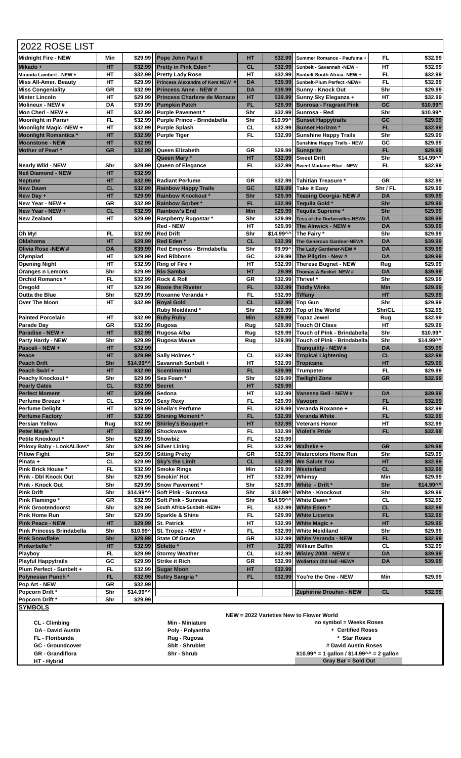| 2022 ROSE LIST                                              |                 |                |                                                                          |                        |           |                                                                      |                        |                                                                                                                                                                                                                                                           |
|-------------------------------------------------------------|-----------------|----------------|--------------------------------------------------------------------------|------------------------|-----------|----------------------------------------------------------------------|------------------------|-----------------------------------------------------------------------------------------------------------------------------------------------------------------------------------------------------------------------------------------------------------|
| <b>Midnight Fire - NEW</b>                                  | Min             | \$29.99        | <b>Pope John Paul II</b>                                                 | HТ                     | \$32.99   | Summer Romance - Paufuma +                                           | FL                     | \$32.99                                                                                                                                                                                                                                                   |
| Mikado +                                                    | HT              |                | \$32.99 Pretty in Pink Eden *                                            | <b>CL</b>              | \$32.99   | Sunbelt - Savannah -NEW +                                            | HТ                     | \$32.99                                                                                                                                                                                                                                                   |
| Miranda Lambert - NEW +                                     | HT              | \$32.99        | <b>Pretty Lady Rose</b>                                                  | HT                     |           | \$32.99 Sunbelt South Africa- NEW +                                  | FL                     | \$32.99                                                                                                                                                                                                                                                   |
| <b>Miss All-Amer. Beauty</b><br><b>Miss Congeniality</b>    | HT<br>GR        | \$32.99        | \$29.99 Princess Alexandra of Kent NEW #<br><b>Princess Anne - NEW #</b> | <b>DA</b><br><b>DA</b> |           | \$39.99 Sunbelt-Plum Perfect -NEW+<br>\$39.99 Sunny - Knock Out      | FL<br>Shr              | \$32.99<br>\$29.99                                                                                                                                                                                                                                        |
| <b>Mister Lincoln</b>                                       | HТ              | \$29.99        | <b>Princess Charlene de Monaco</b>                                       | HT                     |           | \$39.99 Sunny Sky Eleganza +                                         | HТ                     | \$32.99                                                                                                                                                                                                                                                   |
| <b>Molineux - NEW #</b>                                     | DA              |                | \$39.99 Pumpkin Patch                                                    | <b>FL</b>              |           | \$29.99 Sunrosa - Fragrant Pink                                      | GC                     | \$10.99^                                                                                                                                                                                                                                                  |
| Mon Cheri - NEW +                                           | HТ              |                | \$32.99 Purple Pavement *                                                | Shr                    |           | \$32.99 Sunrosa - Red                                                | Shr                    | \$10.99^                                                                                                                                                                                                                                                  |
| Moonlight in Paris+                                         | FL              | \$32.99        | Purple Prince - Brindabella                                              | Shr                    | \$10.99^  | <b>Sunset Happytrails</b>                                            | GC                     | \$29.99                                                                                                                                                                                                                                                   |
| Moonlight Magic -NEW +<br>Moonlight Romantica *             | HT<br>HT        | \$32.99        | \$32.99 Purple Splash<br><b>Purple Tiger</b>                             | <b>CL</b><br>FL        |           | \$32.99 Sunset Horizon *<br>\$32.99 Sunshine Happy Trails            | <b>FL</b><br>Shr       | \$32.99<br>\$29.99                                                                                                                                                                                                                                        |
| <b>Moonstone - NEW</b>                                      | HT              | \$32.99        |                                                                          |                        |           | Sunshine Happy Trails - NEW                                          | GC                     | \$29.99                                                                                                                                                                                                                                                   |
| Mother of Pearl *                                           | <b>GR</b>       | \$32.99        | <b>Queen Elizabeth</b>                                                   | GR                     | \$29.99   | <b>Sunsprite</b>                                                     | FL                     | \$29.99                                                                                                                                                                                                                                                   |
|                                                             |                 |                | Queen Mary *                                                             | HT                     |           | \$32.99 Sweet Drift                                                  | Shr                    | \$14.99^^                                                                                                                                                                                                                                                 |
| <b>Nearly Wild - NEW</b>                                    | Shr             | \$29.99        | <b>Queen of Elegance</b>                                                 | FL                     | \$32.991  | Sweet Madame Blue - NEW                                              | FL.                    | \$32.99                                                                                                                                                                                                                                                   |
| <b>Neil Diamond - NEW</b><br><b>Neptune</b>                 | HT<br>HT        | \$32.99        | \$32.99 Radiant Perfume                                                  | GR                     |           | \$32.99 Tahitian Treasure *                                          | GR                     | \$32.99                                                                                                                                                                                                                                                   |
| <b>New Dawn</b>                                             | CL              |                | \$32.99 Rainbow Happy Trails                                             | GC                     |           | \$29.99 Take it Easy                                                 | Shr / FL               | \$29.99                                                                                                                                                                                                                                                   |
| New Day +                                                   | HT              | \$29.99        | <b>Rainbow Knockout *</b>                                                | Shr                    |           | \$29.99 Teasing Georgia- NEW #                                       | <b>DA</b>              | \$39.99                                                                                                                                                                                                                                                   |
| New Year - NEW +                                            | GR              | \$32.99        | Rainbow Sorbet*                                                          | <b>FL</b>              |           | \$32.99 Tequila Gold *                                               | Shr                    | \$29.99                                                                                                                                                                                                                                                   |
| New Year - NEW +                                            | CL              |                | \$32.99 Rainbow's End                                                    | <b>Min</b>             |           | \$29.99 Tequila Supreme *                                            | Shr                    | \$29.99                                                                                                                                                                                                                                                   |
| <b>New Zealand</b>                                          | HT              | \$29.99        | Raspberry Rugostar *<br><b>Red - NEW</b>                                 | Shr<br>HT              |           | \$29.99 Tess of the Durbervilles-NEW#<br>\$29.99 The Alnwick - NEW # | <b>DA</b><br><b>DA</b> | \$39.99<br>\$39.99                                                                                                                                                                                                                                        |
| Oh My!                                                      | FL              |                | \$32.99 Red Drift                                                        | Shr                    | \$14.99^^ | The Fairy *                                                          | Shr                    | \$29.99                                                                                                                                                                                                                                                   |
| <b>Oklahoma</b>                                             | HT              |                | \$29.99 Red Eden *                                                       | CL                     | \$32.99   | The Generous Gardner-NEW#                                            | <b>DA</b>              | \$39.99                                                                                                                                                                                                                                                   |
| Olivia Rose -NEW #                                          | <b>DA</b>       |                | \$39.99 Red Empress - Brindabella                                        | Shr                    |           | \$9.99^ The Lady Gardener-NEW #                                      | <b>DA</b>              | \$39.99                                                                                                                                                                                                                                                   |
| Olympiad                                                    | HТ              |                | \$29.99 Red Ribbons                                                      | GC                     | \$29.99   | The Pilgrim - New #                                                  | <b>DA</b>              | \$39.99                                                                                                                                                                                                                                                   |
| <b>Opening Night</b>                                        | HT              | \$32.99        | Ring of Fire +                                                           | HT<br>HT               | \$32.99   | Therese Bugnet - NEW                                                 | Rug                    | \$29.99                                                                                                                                                                                                                                                   |
| <b>Oranges n Lemons</b><br>Orchid Romance *                 | Shr<br>FL.      | \$32.99        | \$29.99 Rio Samba<br><b>Rock &amp; Roll</b>                              | GR                     |           | 29.99 Thomas A Becket NEW #<br>\$32.99 Thrive!*                      | <b>DA</b><br>Shr       | \$39.99<br>\$29.99                                                                                                                                                                                                                                        |
| Oregold                                                     | HT              | \$29.99        | <b>Rosie the Riveter</b>                                                 | <b>FL</b>              |           | \$32.99 Tiddly Winks                                                 | <b>Min</b>             | \$29.99                                                                                                                                                                                                                                                   |
| <b>Outta the Blue</b>                                       | Shr             |                | \$29.99   Roxanne Veranda +                                              | FL                     |           | \$32.99 Tiffany                                                      | HT                     | \$29.99                                                                                                                                                                                                                                                   |
| <b>Over The Moon</b>                                        | <b>HT</b>       |                | \$32.99 Royal Gold                                                       | <b>CL</b>              |           | \$32.99 Top Gun                                                      | Shr                    | \$29.99                                                                                                                                                                                                                                                   |
|                                                             |                 |                | Ruby Meidiland*                                                          | Shr                    |           | \$29.99 Top of the World                                             | Shr/CL                 | \$32.99                                                                                                                                                                                                                                                   |
| <b>Painted Porcelain</b><br><b>Parade Day</b>               | НT<br>GR        | \$32.99        | \$32.99 Ruby Ruby<br>Rugosa                                              | <b>Min</b><br>Rug      |           | \$29.99 Topaz Jewel<br>\$29.99 Touch Of Class                        | Rug<br><b>HT</b>       | \$32.99<br>\$29.99                                                                                                                                                                                                                                        |
| Paradise - NEW +                                            | HT              |                | \$32.99 Rugosa Alba                                                      | Rug                    |           | \$29.99 Touch of Pink - Brindabella                                  | Shr                    | \$10.99^                                                                                                                                                                                                                                                  |
| <b>Party Hardy - NEW</b>                                    | Shr             |                | \$29.99 Rugosa Mauve                                                     | Rug                    | \$29.99   | Touch of Pink - Brindabella                                          | Shr                    | \$14.99^^                                                                                                                                                                                                                                                 |
| Pascali - NEW +                                             | HT              | \$32.99        |                                                                          |                        |           | <b>Tranguility - NEW #</b>                                           | <b>DA</b>              | \$39.99                                                                                                                                                                                                                                                   |
| Peace                                                       | HT              |                | \$29.99 Sally Holmes *                                                   | <b>CL</b>              |           | \$32.99 Tropical Lightening                                          | <b>CL</b>              | \$32.99                                                                                                                                                                                                                                                   |
| <b>Peach Drift</b><br>Peach Swirl +                         | Shr<br>HT       | \$14.99^^      | Savannah Sunbelt +<br>\$32.99 Scentimental                               | HT<br><b>FL</b>        |           | \$32.99 Tropicana<br>\$29.99 Trumpeter                               | <b>HT</b><br>FL        | \$29.99<br>\$29.99                                                                                                                                                                                                                                        |
|                                                             | Shr             |                | \$29.99 Sea Foam*                                                        | Shr                    |           | \$29.99 Twilight Zone                                                | GR                     | \$32.99                                                                                                                                                                                                                                                   |
|                                                             |                 |                | \$32.99 Secret                                                           | HT                     | \$29.99   |                                                                      |                        |                                                                                                                                                                                                                                                           |
| Peachy Knockout *<br><b>Pearly Gates</b>                    | <b>CL</b>       |                |                                                                          |                        |           |                                                                      |                        |                                                                                                                                                                                                                                                           |
| <b>Perfect Moment</b>                                       | HT              | \$29.99 Sedona |                                                                          | HТ                     |           | \$32.99 Vanessa Bell - NEW #                                         | <b>DA</b>              |                                                                                                                                                                                                                                                           |
| Perfume Breeze +                                            | CL              |                | \$32.99 Sexy Rexy                                                        | FL                     |           | \$29.99 Vavoom                                                       | FL.                    |                                                                                                                                                                                                                                                           |
| <b>Perfume Delight</b>                                      | HT              |                | \$29.99 Sheila's Perfume                                                 | FL                     |           | \$29.99 Veranda Roxanne +                                            | FL.                    |                                                                                                                                                                                                                                                           |
| <b>Perfume Factory</b>                                      | HТ              |                | \$32.99 Shining Moment *                                                 | FL.                    |           | \$32.99 Veranda White                                                | FL.                    |                                                                                                                                                                                                                                                           |
| <b>Persian Yellow</b><br>Peter Mayle *                      | Rug<br>HT       |                | \$32.99 Shirley's Bouquet +<br>\$32.99 Shockwave                         | HТ<br>FL               |           | \$32.99 Veterans Honor<br>\$32.99 Violet's Pride                     | HТ<br>FL               |                                                                                                                                                                                                                                                           |
| Petite Knoxkout*                                            | Shr             |                | \$29.99 Showbiz                                                          | <b>FL</b>              | \$29.99   |                                                                      |                        |                                                                                                                                                                                                                                                           |
| Phloxy Baby - LookALikes*                                   | Shr             |                | \$29.99 Silver Lining                                                    | FL                     |           | \$32.99 Waiheke +                                                    | <b>GR</b>              |                                                                                                                                                                                                                                                           |
| <b>Pillow Fight</b>                                         | Shr             |                | \$29.99 Sitting Pretty                                                   | GR                     |           | \$32.99 Watercolors Home Run                                         | Shr                    |                                                                                                                                                                                                                                                           |
| Pinata +                                                    | CL              |                | \$29.99 Sky's the Limit                                                  | <b>CL</b>              |           | \$32.99 We Salute You                                                | HT                     |                                                                                                                                                                                                                                                           |
| Pink Brick House *                                          | FL<br>Shr       |                | \$32.99 Smoke Rings<br>\$29.99 Smokin' Hot                               | Min<br>HТ              |           | \$29.99 Westerland<br>\$32.99 Whimsy                                 | <b>CL</b><br>Min       |                                                                                                                                                                                                                                                           |
| Pink - Dbl Knock Out<br>Pink - Knock Out                    | Shr             |                | \$29.99 Snow Pavement *                                                  | Shr                    |           | \$29.99 White - Drift *                                              | Shr                    | \$14.99^^                                                                                                                                                                                                                                                 |
| <b>Pink Drift</b>                                           | Shr             | \$14.99^^      | Soft Pink - Sunrosa                                                      | Shr                    |           | \$10.99^   White - Knockout                                          | Shr                    |                                                                                                                                                                                                                                                           |
| Pink Flamingo*                                              | GR              |                | \$32.99   Soft Pink - Sunrosa                                            | Shr                    |           | \$14.99^^   White Dawn *                                             | CL                     |                                                                                                                                                                                                                                                           |
| <b>Pink Grootendoorst</b>                                   | Shr             |                | \$29.99 South Africa-Sunbelt -NEW+                                       | FL                     |           | \$32.99 White Eden *                                                 | <b>CL</b>              |                                                                                                                                                                                                                                                           |
| <b>Pink Home Run</b>                                        | Shr             |                | \$29.99 Sparkle & Shine                                                  | <b>FL</b>              |           | \$29.99 White Licorice                                               | FL.                    |                                                                                                                                                                                                                                                           |
| <b>Pink Peace - NEW</b><br><b>Pink Princess Brindabella</b> | HT<br>Shr       | \$10.99^       | \$29.99 St. Patrick<br>St. Tropez - NEW +                                | HТ<br>FL.              |           | \$32.99 White Magic +<br>\$32.99 White Meidiland                     | HT<br>Shr              |                                                                                                                                                                                                                                                           |
| <b>Pink Snowflake</b>                                       | Shr             |                | \$29.99 State Of Grace                                                   | GR                     |           | \$32.99 White Veranda - NEW                                          | FL                     |                                                                                                                                                                                                                                                           |
| Pinkerbelle *                                               | HТ              |                | \$32.99 Stiletto *                                                       | HT                     |           | 32.99 William Baffin                                                 | CL                     |                                                                                                                                                                                                                                                           |
| <b>Playboy</b>                                              | <b>FL</b>       |                | \$29.99 Stormy Weather                                                   | <b>CL</b>              |           | \$32.99 Wisley 2008 - NEW #                                          | DA                     |                                                                                                                                                                                                                                                           |
| <b>Playful Happytrails</b>                                  | GC              | \$29.99        | <b>Strike it Rich</b>                                                    | GR                     | \$32.99   | <b>Wollerton Old Hall -NEW#</b>                                      | DA                     |                                                                                                                                                                                                                                                           |
| Plum Perfect - Sunbelt +                                    | FL              |                | \$32.99 Sugar Moon                                                       | HT<br>FL               | \$32.99   |                                                                      |                        |                                                                                                                                                                                                                                                           |
| Polynesian Punch*<br>Pop Art - NEW                          | <b>FL</b><br>GR | \$32.99        | \$32.99 Sultry Sangria *                                                 |                        |           | \$32.99 You're the One - NEW                                         | Min                    |                                                                                                                                                                                                                                                           |
| Popcorn Drift *                                             | Shr             | \$14.99^^      |                                                                          |                        |           | <b>Zephirine Drouhin - NEW</b>                                       | <b>CL</b>              |                                                                                                                                                                                                                                                           |
| Popcorn Drift*<br><b>SYMBOLS</b>                            | Shr             | \$29.99        |                                                                          |                        |           |                                                                      |                        | \$39.99<br>\$32.99<br>\$32.99<br>\$32.99<br>\$32.99<br>\$32.99<br>\$29.99<br>\$29.99<br>\$32.99<br>\$32.99<br>\$29.99<br>\$29.99<br>\$32.99<br>\$32.99<br>\$32.99<br>\$29.99<br>\$29.99<br>\$32.99<br>\$32.99<br>\$39.99<br>\$39.99<br>\$29.99<br>\$32.99 |

 **FL - Floribunda Rug - Rugosa GC - Groundcover Sblt - Shrublet** 

 **HT - Hybrid**

**CL - Climbing CL - Climbing CL - Climbing CL - Climbing CL - Climbing CL - Climbing CL - Climbing CL - Climbing CL - Climbing CL - Climbing CL - Climbing CL - Climbing CL - Climbing CL - Climbing CL - Climbing CL - Climbi DA - David Austin Poly - Polyantha** 

**Varieties GR - Grandiflora Shr - Shrub \$10.99^ = 1 gallon / \$14.99^^ = 2 gallon no symbol = Weeks Roses + Certified Roses \* Star Roses # David Austin Roses Gray Bar = Sold Out**